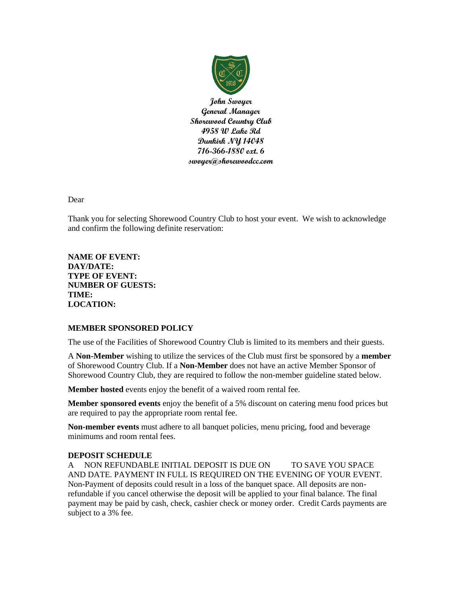

**John Swoyer General Manager Shorewood Country Club 4958 W Lake Rd Dunkirk NY 14048 716-366-1880 ext. 6 swoyer@shorewoodcc.com**

Dear

Thank you for selecting Shorewood Country Club to host your event. We wish to acknowledge and confirm the following definite reservation:

**NAME OF EVENT: DAY/DATE: TYPE OF EVENT: NUMBER OF GUESTS: TIME: LOCATION:**

### **MEMBER SPONSORED POLICY**

The use of the Facilities of Shorewood Country Club is limited to its members and their guests.

A **Non-Member** wishing to utilize the services of the Club must first be sponsored by a **member** of Shorewood Country Club. If a **Non-Member** does not have an active Member Sponsor of Shorewood Country Club, they are required to follow the non-member guideline stated below.

**Member hosted** events enjoy the benefit of a waived room rental fee.

**Member sponsored events** enjoy the benefit of a 5% discount on catering menu food prices but are required to pay the appropriate room rental fee.

**Non-member events** must adhere to all banquet policies, menu pricing, food and beverage minimums and room rental fees.

### **DEPOSIT SCHEDULE**

A NON REFUNDABLE INITIAL DEPOSIT IS DUE ON TO SAVE YOU SPACE AND DATE. PAYMENT IN FULL IS REQUIRED ON THE EVENING OF YOUR EVENT. Non-Payment of deposits could result in a loss of the banquet space. All deposits are nonrefundable if you cancel otherwise the deposit will be applied to your final balance. The final payment may be paid by cash, check, cashier check or money order. Credit Cards payments are subject to a 3% fee.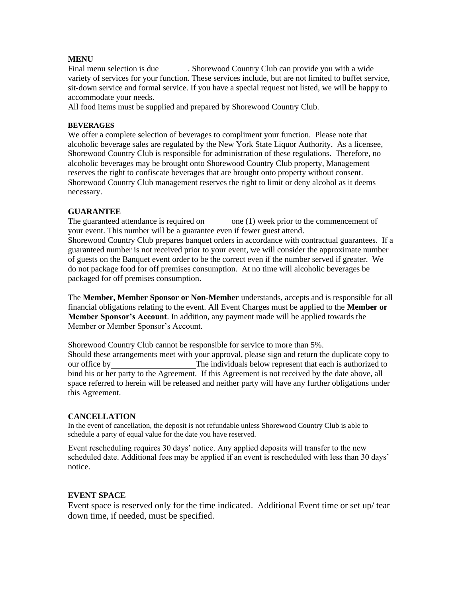### **MENU**

Final menu selection is due . Shorewood Country Club can provide you with a wide variety of services for your function. These services include, but are not limited to buffet service, sit-down service and formal service. If you have a special request not listed, we will be happy to accommodate your needs.

All food items must be supplied and prepared by Shorewood Country Club.

#### **BEVERAGES**

We offer a complete selection of beverages to compliment your function. Please note that alcoholic beverage sales are regulated by the New York State Liquor Authority. As a licensee, Shorewood Country Club is responsible for administration of these regulations. Therefore, no alcoholic beverages may be brought onto Shorewood Country Club property, Management reserves the right to confiscate beverages that are brought onto property without consent. Shorewood Country Club management reserves the right to limit or deny alcohol as it deems necessary.

## **GUARANTEE**

The guaranteed attendance is required on one (1) week prior to the commencement of your event. This number will be a guarantee even if fewer guest attend.

Shorewood Country Club prepares banquet orders in accordance with contractual guarantees. If a guaranteed number is not received prior to your event, we will consider the approximate number of guests on the Banquet event order to be the correct even if the number served if greater. We do not package food for off premises consumption. At no time will alcoholic beverages be packaged for off premises consumption.

The **Member, Member Sponsor or Non-Member** understands, accepts and is responsible for all financial obligations relating to the event. All Event Charges must be applied to the **Member or Member Sponsor's Account**. In addition, any payment made will be applied towards the Member or Member Sponsor's Account.

Shorewood Country Club cannot be responsible for service to more than 5%. Should these arrangements meet with your approval, please sign and return the duplicate copy to our office byThe individuals below represent that each is authorized to bind his or her party to the Agreement. If this Agreement is not received by the date above, all space referred to herein will be released and neither party will have any further obligations under this Agreement.

### **CANCELLATION**

In the event of cancellation, the deposit is not refundable unless Shorewood Country Club is able to schedule a party of equal value for the date you have reserved.

Event rescheduling requires 30 days' notice. Any applied deposits will transfer to the new scheduled date. Additional fees may be applied if an event is rescheduled with less than 30 days' notice.

### **EVENT SPACE**

Event space is reserved only for the time indicated. Additional Event time or set up/ tear down time, if needed, must be specified.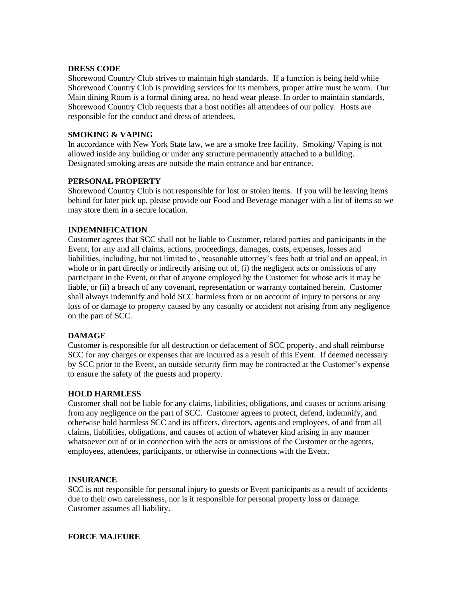### **DRESS CODE**

Shorewood Country Club strives to maintain high standards. If a function is being held while Shorewood Country Club is providing services for its members, proper attire must be worn. Our Main dining Room is a formal dining area, no head wear please. In order to maintain standards, Shorewood Country Club requests that a host notifies all attendees of our policy. Hosts are responsible for the conduct and dress of attendees.

### **SMOKING & VAPING**

In accordance with New York State law, we are a smoke free facility. Smoking/ Vaping is not allowed inside any building or under any structure permanently attached to a building. Designated smoking areas are outside the main entrance and bar entrance.

### **PERSONAL PROPERTY**

Shorewood Country Club is not responsible for lost or stolen items. If you will be leaving items behind for later pick up, please provide our Food and Beverage manager with a list of items so we may store them in a secure location.

## **INDEMNIFICATION**

Customer agrees that SCC shall not be liable to Customer, related parties and participants in the Event, for any and all claims, actions, proceedings, damages, costs, expenses, losses and liabilities, including, but not limited to , reasonable attorney's fees both at trial and on appeal, in whole or in part directly or indirectly arising out of, (i) the negligent acts or omissions of any participant in the Event, or that of anyone employed by the Customer for whose acts it may be liable, or (ii) a breach of any covenant, representation or warranty contained herein. Customer shall always indemnify and hold SCC harmless from or on account of injury to persons or any loss of or damage to property caused by any casualty or accident not arising from any negligence on the part of SCC.

### **DAMAGE**

Customer is responsible for all destruction or defacement of SCC property, and shall reimburse SCC for any charges or expenses that are incurred as a result of this Event. If deemed necessary by SCC prior to the Event, an outside security firm may be contracted at the Customer's expense to ensure the safety of the guests and property.

### **HOLD HARMLESS**

Customer shall not be liable for any claims, liabilities, obligations, and causes or actions arising from any negligence on the part of SCC. Customer agrees to protect, defend, indemnify, and otherwise hold harmless SCC and its officers, directors, agents and employees, of and from all claims, liabilities, obligations, and causes of action of whatever kind arising in any manner whatsoever out of or in connection with the acts or omissions of the Customer or the agents, employees, attendees, participants, or otherwise in connections with the Event.

### **INSURANCE**

SCC is not responsible for personal injury to guests or Event participants as a result of accidents due to their own carelessness, nor is it responsible for personal property loss or damage. Customer assumes all liability.

### **FORCE MAJEURE**